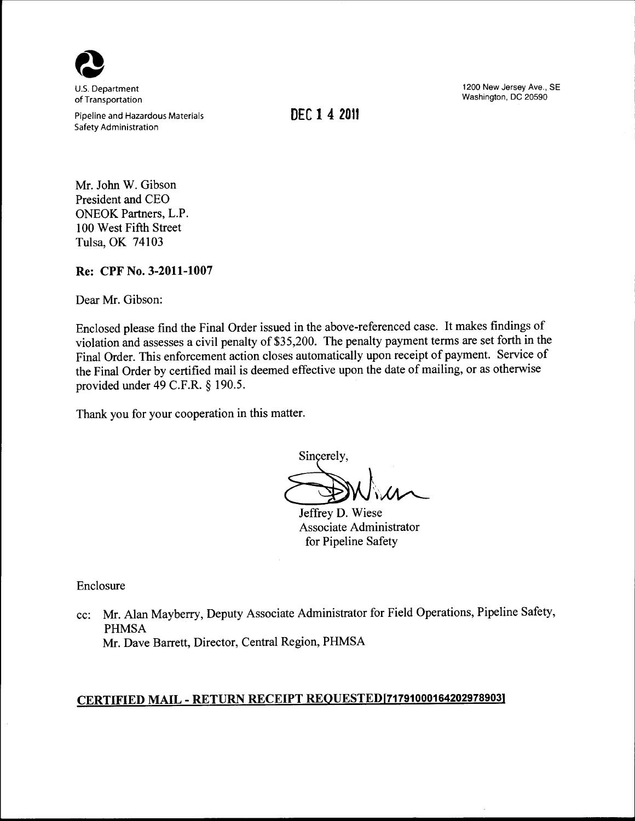

U.S. Department of Transportation

Pipeline and Hazardous Materials Safety Administration

**DEC 1 4 2011** 

1200 New Jersey Ave., SE Washington, DC 20590

Mr. John W. Gibson President and CEO ONEOK Partners, L.P. 100 West Fifth Street Tulsa, OK 74103

**Re: CPF No. 3-2011-1007** 

Dear Mr. Gibson:

Enclosed please find the Final Order issued in the above-referenced case. It makes findings of violation and assesses a civil penalty of \$35,200. The penalty payment terms are set forth in the Final Order. This enforcement action closes automatically upon receipt of payment. Service of the Final Order by certified mail is deemed effective upon the date of mailing, or as otherwise provided under 49 C.F.R. § 190.5.

Thank you for your cooperation in this matter.

Sincerely,  $\sim$ 

Jeffrey D. Wiese Associate Administrator for Pipeline Safety

Enclosure

cc: Mr. Alan Mayberry, Deputy Associate Administrator for Field Operations, Pipeline Safety, PHMSA Mr. Dave Barrett, Director, Central Region, PHMSA

# **CERTIFIED MAIL- RETURN RECEIPT REQUESTED[717910001642029789031**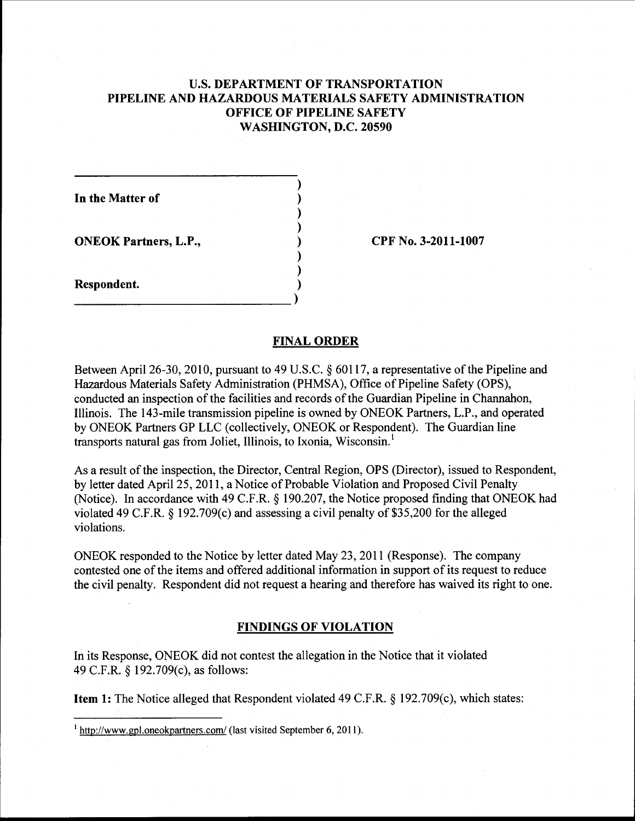## U.S. **DEPARTMENT OF TRANSPORTATION PIPELINE AND HAZARDOUS MATERIALS SAFETY ADMINISTRATION OFFICE OF PIPELINE SAFETY WASHINGTON, D.C. 20590**

) ) ) ) ) ) )

**In the Matter of** 

**ONEOK Partners, L.P.,** 

**CPF** No. **3-2011-1007** 

**Respondent.**  ) \_\_\_\_\_\_\_\_\_\_\_\_\_\_\_\_\_\_\_\_\_\_\_\_ )

#### **FINAL ORDER**

Between April 26-30, 2010, pursuant to 49 U.S.C. § 60117, a representative of the Pipeline and Hazardous Materials Safety Administration (PHMSA), Office of Pipeline Safety (OPS), conducted an inspection of the facilities and records of the Guardian Pipeline in Channahon, Illinois. The 143-mile transmission pipeline is owned by ONEOK Partners, L.P., and operated by ONEOK Partners GP LLC (collectively, ONEOK or Respondent). The Guardian line transports natural gas from Joliet, Illinois, to Ixonia, Wisconsin. <sup>1</sup>

As a result of the inspection, the Director, Central Region, OPS (Director), issued to Respondent, by letter dated April25, 2011, a Notice of Probable Violation and Proposed Civil Penalty (Notice). In accordance with 49 C.F.R. § 190.207, the Notice proposed finding that ONEOK had violated 49 C.F.R.  $\S$  192.709(c) and assessing a civil penalty of \$35,200 for the alleged violations.

ONEOK responded to the Notice by letter dated May 23, 2011 (Response). The company contested one of the items and offered additional information in support of its request to reduce the civil penalty. Respondent did not request a hearing and therefore has waived its right to one.

#### **FINDINGS OF VIOLATION**

In its Response, ONEOK did not contest the allegation in the Notice that it violated 49 C.F.R. § 192.709(c), as follows:

**Item 1:** The Notice alleged that Respondent violated 49 C.F.R. § 192.709(c), which states:

<sup>1</sup> http://www.gpl.oneokpartners.com/ (last visited September 6, 2011).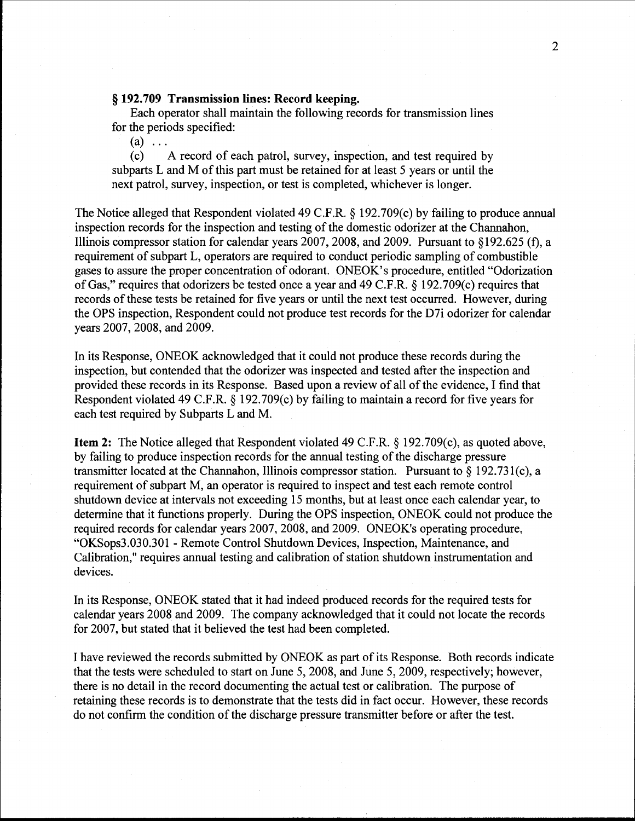### § **192.709 Transmission lines: Record keeping.**

Each operator shall maintain the following records for transmission lines for the periods specified:

 $\begin{matrix} (a) & \dots \\ (c) & \n\end{matrix}$ A record of each patrol, survey, inspection, and test required by subparts L and M of this part must be retained for at least 5 years or until the next patrol, survey, inspection, or test is completed, whichever is longer.

The Notice alleged that Respondent violated 49 C.F.R. § 192.709(c) by failing to produce annual inspection records for the inspection and testing of the domestic odorizer at the Channahon, Illinois compressor station for calendar years 2007,2008, and 2009. Pursuant to §192.625 (f), a requirement of subpart L, operators are required to conduct periodic sampling of combustible gases to assure the proper concentration of odorant. ONEOK's procedure, entitled "Odorization of Gas," requires that odorizers be tested once a year and 49 C.F.R.  $\S$  192.709(c) requires that records of these tests be retained for five years or until the next test occurred. However, during the OPS inspection, Respondent could not produce test records for the D7i odorizer for calendar years 2007, 2008, and 2009.

In its Response, ONEOK acknowledged that it could not produce these records during the inspection, but contended that the odorizer was inspected and tested after the inspection and provided these records in its Response. Based upon a review of all of the evidence, I find that Respondent violated 49 C.F.R. § 192.709(c) by failing to maintain a record for five years for each test required by Subparts L and M.

**Item 2:** The Notice alleged that Respondent violated 49 C.F.R. § 192.709(c), as quoted above, by failing to produce inspection records for the annual testing of the discharge pressure transmitter located at the Channahon, Illinois compressor station. Pursuant to  $\S 192.731(c)$ , a requirement of subpart M, an operator is required to inspect and test each remote control shutdown device at intervals not exceeding 15 months, but at least once each calendar year, to determine that it functions properly. During the OPS inspection, ONEOK could not produce the required records for calendar years 2007, 2008, and 2009. ONEOK's operating procedure, "OKSops3.030.301 -Remote Control Shutdown Devices, Inspection, Maintenance, and Calibration," requires annual testing and calibration of station shutdown instrumentation and devices.

In its Response, ONEOK stated that it had indeed produced records for the required tests for calendar years 2008 and 2009. The company acknowledged that it could not locate the records for 2007, but stated that it believed the test had been completed.

I have reviewed the records submitted by ONEOK as part of its Response. Both records indicate that the tests were scheduled to start on June 5, 2008, and June 5, 2009, respectively; however, there is no detail in the record documenting the actual test or calibration. The purpose of retaining these records is to demonstrate that the tests did in fact occur. However, these records do not confirm the condition of the discharge pressure transmitter before or after the test.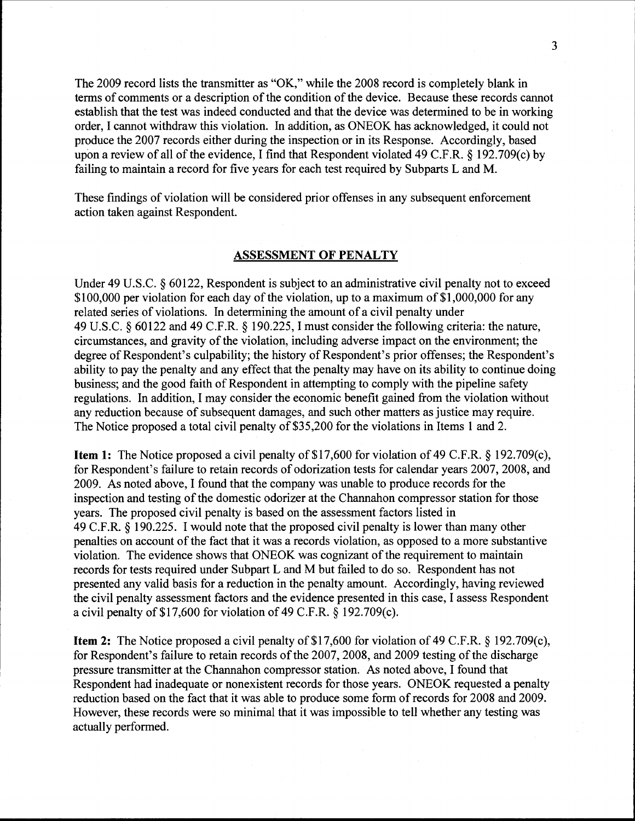The 2009 record lists the transmitter as "OK," while the 2008 record is completely blank in terms of comments or a description of the condition of the device. Because these records cannot establish that the test was indeed conducted and that the device was determined to be in working order, I cannot withdraw this violation. In addition, as ONEOK has acknowledged, it could not produce the 2007 records either during the inspection or in its Response. Accordingly, based upon a review of all of the evidence, I find that Respondent violated 49 C.F.R.  $\S$  192.709(c) by failing to maintain a record for five years for each test required by Subparts L and M.

These findings of violation will be considered prior offenses in any subsequent enforcement action taken against Respondent.

#### ASSESSMENT OF PENALTY

Under 49 U.S.C. § 60122, Respondent is subject to an administrative civil penalty not to exceed \$100,000 per violation for each day of the violation, up to a maximum of \$1,000,000 for any related series of violations. In determining the amount of a civil penalty under 49 U.S.C. § 60122 and 49 C.F.R. § 190.225, I must consider the following criteria: the nature, circumstances, and gravity of the violation, including adverse impact on the environment; the degree of Respondent's culpability; the history of Respondent's prior offenses; the Respondent's ability to pay the penalty and any effect that the penalty may have on its ability to continue doing business; and the good faith of Respondent in attempting to comply with the pipeline safety regulations. In addition, I may consider the economic benefit gained from the violation without any reduction because of subsequent damages, and such other matters as justice may require. The Notice proposed a total civil penalty of \$35,200 for the violations in Items 1 and 2.

**Item 1:** The Notice proposed a civil penalty of \$17,600 for violation of 49 C.F.R. § 192.709(c), for Respondent's failure to retain records of odorization tests for calendar years 2007, 2008, and 2009. As noted above, I found that the company was unable to produce records for the inspection and testing of the domestic odorizer at the Channahon compressor station for those years. The proposed civil penalty is based on the assessment factors listed in 49 C.F.R. § 190.225. I would note that the proposed civil penalty is lower than many other penalties on account of the fact that it was a records violation, as opposed to a more substantive violation. The evidence shows that ONEOK was cognizant of the requirement to maintain records for tests required under Subpart L and M but failed to do so. Respondent has not presented any valid basis for a reduction in the penalty amount. Accordingly, having reviewed the civil penalty assessment factors and the evidence presented in this case, I assess Respondent a civil penalty of \$17,600 for violation of 49 C.F.R. § 192.709(c).

**Item 2:** The Notice proposed a civil penalty of \$17,600 for violation of 49 C.F.R. § 192.709 $(c)$ , for Respondent's failure to retain records of the 2007, 2008, and 2009 testing of the discharge pressure transmitter at the Channahon compressor station. As noted above, I found that Respondent had inadequate or nonexistent records for those years. ONEOK requested a penalty reduction based on the fact that it was able to produce some form of records for 2008 and 2009. However, these records were so minimal that it was impossible to tell whether any testing was actually performed.